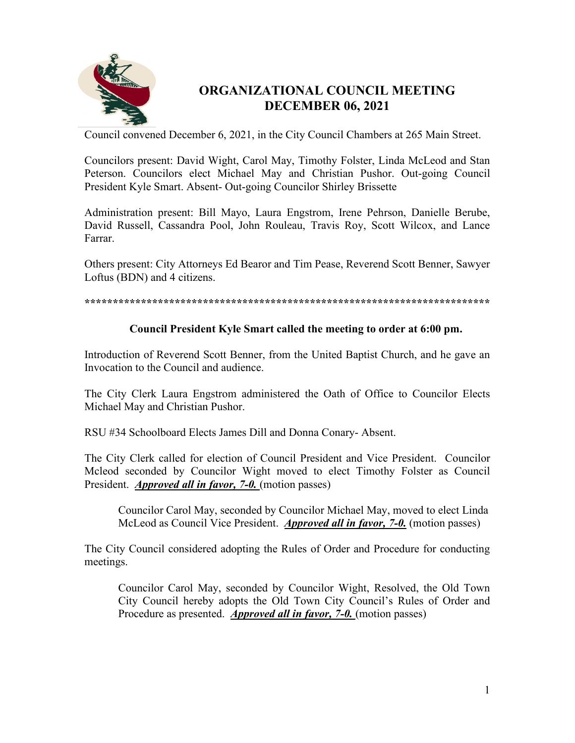

# **ORGANIZATIONAL COUNCIL MEETING DECEMBER 06, 2021**

Council convened December 6, 2021, in the City Council Chambers at 265 Main Street.

Councilors present: David Wight, Carol May, Timothy Folster, Linda McLeod and Stan Peterson. Councilors elect Michael May and Christian Pushor. Out-going Council President Kyle Smart. Absent- Out-going Councilor Shirley Brissette

Administration present: Bill Mayo, Laura Engstrom, Irene Pehrson, Danielle Berube, David Russell, Cassandra Pool, John Rouleau, Travis Roy, Scott Wilcox, and Lance Farrar.

Others present: City Attorneys Ed Bearor and Tim Pease, Reverend Scott Benner, Sawyer Loftus (BDN) and 4 citizens.

**\*\*\*\*\*\*\*\*\*\*\*\*\*\*\*\*\*\*\*\*\*\*\*\*\*\*\*\*\*\*\*\*\*\*\*\*\*\*\*\*\*\*\*\*\*\*\*\*\*\*\*\*\*\*\*\*\*\*\*\*\*\*\*\*\*\*\*\*\*\*\*\*** 

# **Council President Kyle Smart called the meeting to order at 6:00 pm.**

Introduction of Reverend Scott Benner, from the United Baptist Church, and he gave an Invocation to the Council and audience.

The City Clerk Laura Engstrom administered the Oath of Office to Councilor Elects Michael May and Christian Pushor.

RSU #34 Schoolboard Elects James Dill and Donna Conary- Absent.

The City Clerk called for election of Council President and Vice President. Councilor Mcleod seconded by Councilor Wight moved to elect Timothy Folster as Council President. *Approved all in favor, 7-0.* (motion passes)

 Councilor Carol May, seconded by Councilor Michael May, moved to elect Linda McLeod as Council Vice President. *Approved all in favor, 7-0.* (motion passes)

The City Council considered adopting the Rules of Order and Procedure for conducting meetings.

Councilor Carol May, seconded by Councilor Wight, Resolved, the Old Town City Council hereby adopts the Old Town City Council's Rules of Order and Procedure as presented. *Approved all in favor, 7-0.* (motion passes)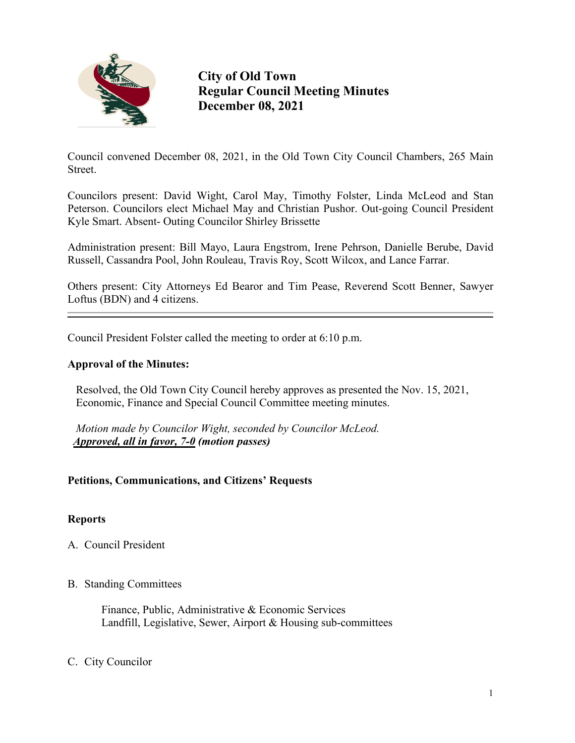

**City of Old Town Regular Council Meeting Minutes December 08, 2021**

Council convened December 08, 2021, in the Old Town City Council Chambers, 265 Main Street.

Councilors present: David Wight, Carol May, Timothy Folster, Linda McLeod and Stan Peterson. Councilors elect Michael May and Christian Pushor. Out-going Council President Kyle Smart. Absent- Outing Councilor Shirley Brissette

Administration present: Bill Mayo, Laura Engstrom, Irene Pehrson, Danielle Berube, David Russell, Cassandra Pool, John Rouleau, Travis Roy, Scott Wilcox, and Lance Farrar.

Others present: City Attorneys Ed Bearor and Tim Pease, Reverend Scott Benner, Sawyer Loftus (BDN) and 4 citizens.

Council President Folster called the meeting to order at 6:10 p.m.

## **Approval of the Minutes:**

Resolved, the Old Town City Council hereby approves as presented the Nov. 15, 2021, Economic, Finance and Special Council Committee meeting minutes.

*Motion made by Councilor Wight, seconded by Councilor McLeod. Approved, all in favor, 7-0 (motion passes)*

# **Petitions, Communications, and Citizens' Requests**

#### **Reports**

- A. Council President
- B. Standing Committees

 Finance, Public, Administrative & Economic Services Landfill, Legislative, Sewer, Airport & Housing sub-committees

#### C. City Councilor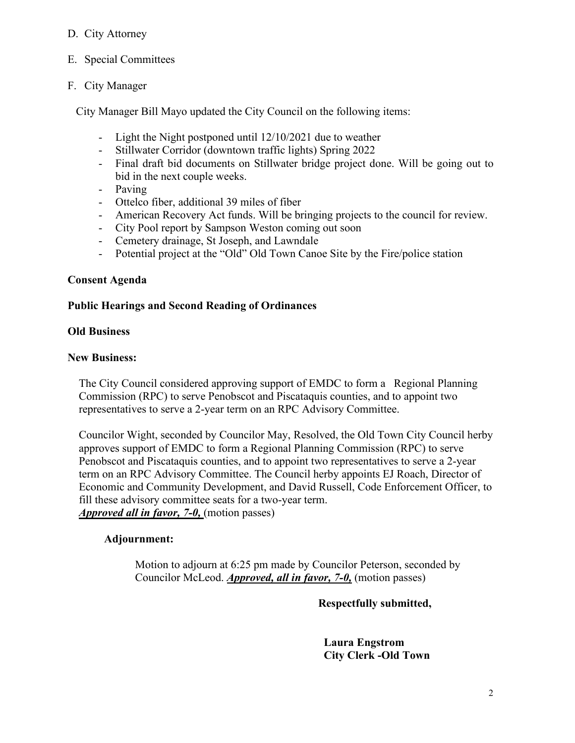# D. City Attorney

E. Special Committees

# F. City Manager

City Manager Bill Mayo updated the City Council on the following items:

- Light the Night postponed until 12/10/2021 due to weather
- Stillwater Corridor (downtown traffic lights) Spring 2022
- Final draft bid documents on Stillwater bridge project done. Will be going out to bid in the next couple weeks.
- Paving
- Ottelco fiber, additional 39 miles of fiber
- American Recovery Act funds. Will be bringing projects to the council for review.
- City Pool report by Sampson Weston coming out soon
- Cemetery drainage, St Joseph, and Lawndale
- Potential project at the "Old" Old Town Canoe Site by the Fire/police station

## **Consent Agenda**

## **Public Hearings and Second Reading of Ordinances**

## **Old Business**

#### **New Business:**

 The City Council considered approving support of EMDC to form a Regional Planning Commission (RPC) to serve Penobscot and Piscataquis counties, and to appoint two representatives to serve a 2-year term on an RPC Advisory Committee.

 Councilor Wight, seconded by Councilor May, Resolved, the Old Town City Council herby approves support of EMDC to form a Regional Planning Commission (RPC) to serve Penobscot and Piscataquis counties, and to appoint two representatives to serve a 2-year term on an RPC Advisory Committee. The Council herby appoints EJ Roach, Director of Economic and Community Development, and David Russell, Code Enforcement Officer, to fill these advisory committee seats for a two-year term. *Approved all in favor, 7-0,* (motion passes)

# **Adjournment:**

Motion to adjourn at 6:25 pm made by Councilor Peterson, seconded by Councilor McLeod. *Approved, all in favor, 7-0,* (motion passes)

 **Respectfully submitted,** 

 **Laura Engstrom City Clerk -Old Town**